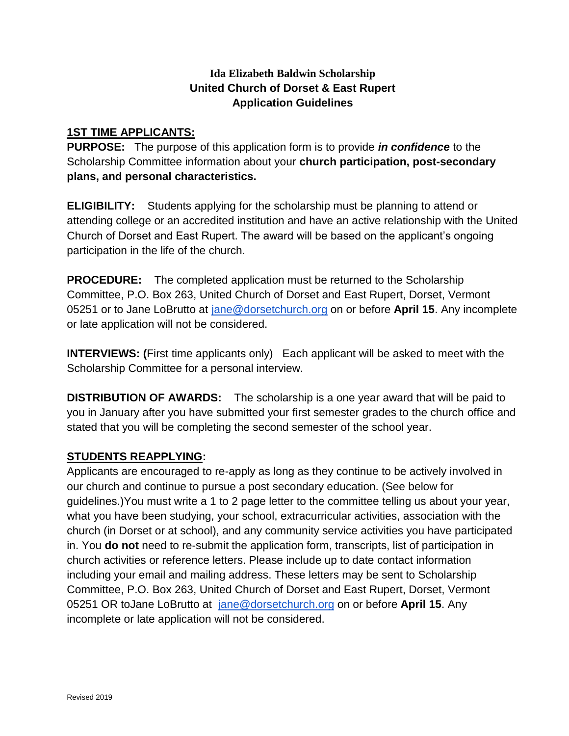# **Ida Elizabeth Baldwin Scholarship United Church of Dorset & East Rupert Application Guidelines**

### **1ST TIME APPLICANTS:**

**PURPOSE:** The purpose of this application form is to provide *in confidence* to the Scholarship Committee information about your **church participation, post-secondary plans, and personal characteristics.** 

**ELIGIBILITY:** Students applying for the scholarship must be planning to attend or attending college or an accredited institution and have an active relationship with the United Church of Dorset and East Rupert. The award will be based on the applicant's ongoing participation in the life of the church.

**PROCEDURE:** The completed application must be returned to the Scholarship Committee, P.O. Box 263, United Church of Dorset and East Rupert, Dorset, Vermont 05251 or to Jane LoBrutto at [jane@dorsetchurch.org](mailto:jane@dorsetchurch.org) on or before **April 15**. Any incomplete or late application will not be considered.

**INTERVIEWS: (**First time applicants only) Each applicant will be asked to meet with the Scholarship Committee for a personal interview.

**DISTRIBUTION OF AWARDS:** The scholarship is a one year award that will be paid to you in January after you have submitted your first semester grades to the church office and stated that you will be completing the second semester of the school year.

## **STUDENTS REAPPLYING:**

Applicants are encouraged to re-apply as long as they continue to be actively involved in our church and continue to pursue a post secondary education. (See below for guidelines.)You must write a 1 to 2 page letter to the committee telling us about your year, what you have been studying, your school, extracurricular activities, association with the church (in Dorset or at school), and any community service activities you have participated in. You **do not** need to re-submit the application form, transcripts, list of participation in church activities or reference letters. Please include up to date contact information including your email and mailing address. These letters may be sent to Scholarship Committee, P.O. Box 263, United Church of Dorset and East Rupert, Dorset, Vermont 05251 OR toJane LoBrutto at [jane@dorsetchurch.org](mailto:jane@dorsetchurch.org) on or before **April 15**. Any incomplete or late application will not be considered.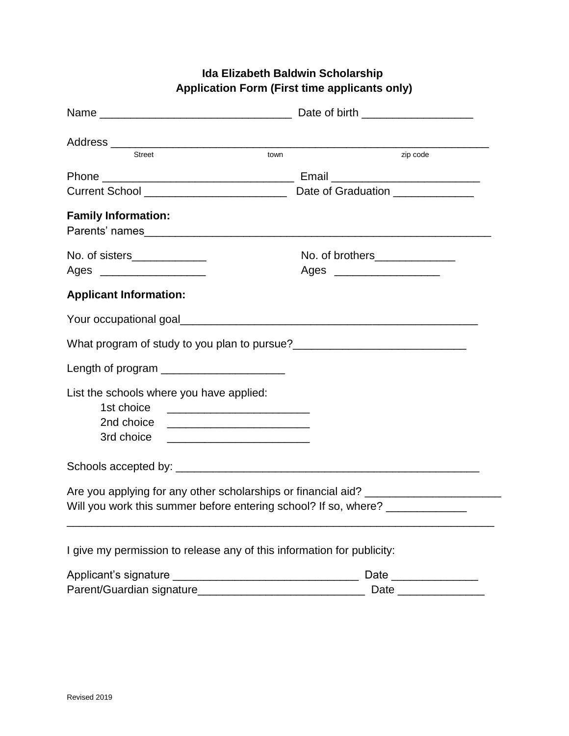| <b>Street</b><br>town                                                                                                                                                                                                         | zip code                      |
|-------------------------------------------------------------------------------------------------------------------------------------------------------------------------------------------------------------------------------|-------------------------------|
|                                                                                                                                                                                                                               |                               |
|                                                                                                                                                                                                                               |                               |
| <b>Family Information:</b><br>Parents' names                                                                                                                                                                                  |                               |
| No. of sisters______________                                                                                                                                                                                                  | No. of brothers______________ |
| Ages ________________________                                                                                                                                                                                                 |                               |
| <b>Applicant Information:</b>                                                                                                                                                                                                 |                               |
| Your occupational goal and the control of the control of the control of the control of the control of the control of the control of the control of the control of the control of the control of the control of the control of |                               |
|                                                                                                                                                                                                                               |                               |
| Length of program ________________________                                                                                                                                                                                    |                               |
| List the schools where you have applied:<br>1st choice<br>2nd choice<br><u> 1980 - Jan Barnett, fransk politiker (d. 1980)</u><br>3rd choice                                                                                  |                               |
|                                                                                                                                                                                                                               |                               |
| Are you applying for any other scholarships or financial aid? ___________________<br>Will you work this summer before entering school? If so, where? _______________                                                          |                               |
| I give my permission to release any of this information for publicity:                                                                                                                                                        |                               |
|                                                                                                                                                                                                                               |                               |
|                                                                                                                                                                                                                               |                               |

# **Ida Elizabeth Baldwin Scholarship Application Form (First time applicants only)**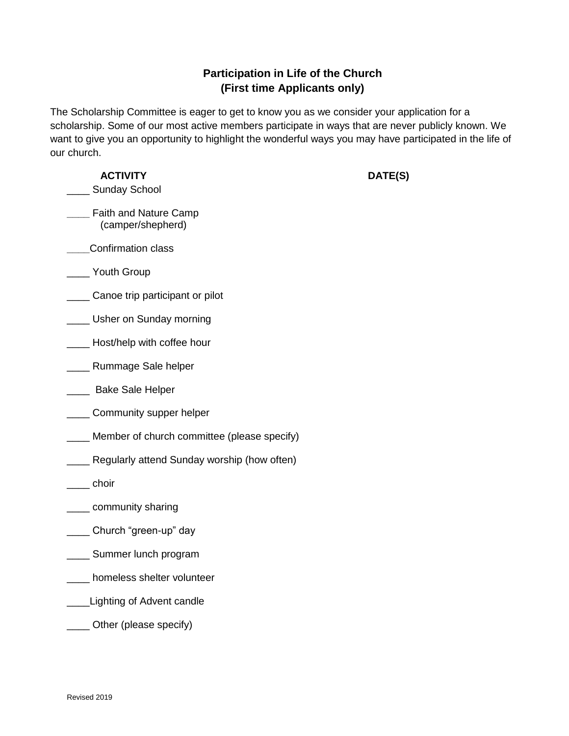# **Participation in Life of the Church (First time Applicants only)**

The Scholarship Committee is eager to get to know you as we consider your application for a scholarship. Some of our most active members participate in ways that are never publicly known. We want to give you an opportunity to highlight the wonderful ways you may have participated in the life of our church.

#### **ACTIVITY DATE(S)**

- Sunday School
- **\_\_\_\_** Faith and Nature Camp (camper/shepherd)
- **\_\_\_\_**Confirmation class
- Youth Group
- \_\_\_\_\_\_ Canoe trip participant or pilot
- **\_\_\_\_** Usher on Sunday morning
- **\_\_\_\_\_** Host/help with coffee hour
- \_\_\_\_ Rummage Sale helper
- **\_\_\_\_** Bake Sale Helper
- \_\_\_\_\_ Community supper helper
- Member of church committee (please specify)
- **EXEC** Regularly attend Sunday worship (how often)
- \_\_\_\_ choir
- **with the community sharing**
- \_\_\_\_ Church "green-up" day
- \_\_\_\_ Summer lunch program
- \_\_\_\_ homeless shelter volunteer
- **Lighting of Advent candle**
- Other (please specify)